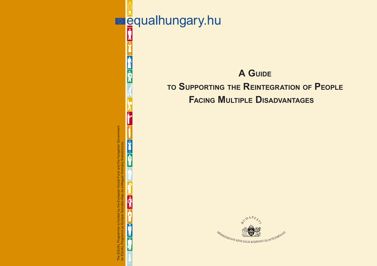**E**qualhungary.hu



**A GUIDE TO SUPPORTING THE REINTEGRATION OF PEOPLE**

**FACING MULTIPLE DISADVANTAGES**

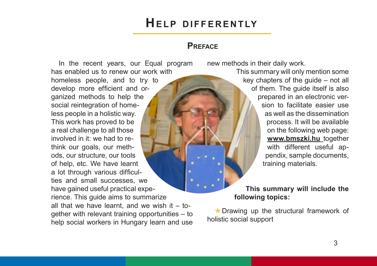#### **PREFACE**

In the recent years, our Equal program has enabled us to renew our work with homeless people, and to try to develop more efficient and organized methods to help the social reintegration of homeless people in a holistic way. This work has proved to be a real challenge to all those involved in it: we had to rethink our goals, our methods, our structure, our tools of help, etc. We have learnt a lot through various difficulties and small successes, we have gained useful practical experience. This guide aims to summarize all that we have learnt, and we wish it  $-$  together with relevant training opportunities – to help social workers in Hungary learn and use

new methods in their daily work.

This summary will only mention some key chapters of the guide – not all of them. The guide itself is also prepared in an electronic version to facilitate easier use as well as the dissemination process. It will be available on the following web page: **www.bmszki.hu** together with different useful appendix, sample documents, training materials.

#### **This summary will include the following topics:**

 $\star$  Drawing up the structural framework of holistic social support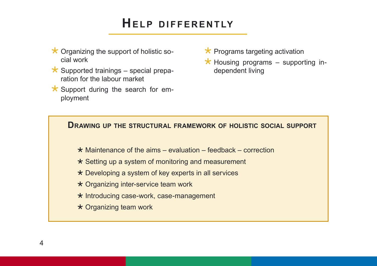- $\star$  Organizing the support of holistic social work
- $\star$  Supported trainings special preparation for the labour market
- $\star$  Support during the search for employment
- $\star$  Programs targeting activation
- $\star$  Housing programs supporting independent living

#### **DRAWING UP THE STRUCTURAL FRAMEWORK OF HOLISTIC SOCIAL SUPPORT**

- $\star$  Maintenance of the aims evaluation feedback correction
- $\star$  Setting up a system of monitoring and measurement
- \* Developing a system of key experts in all services
- \* Organizing inter-service team work
- \* Introducing case-work, case-management
- Organizing team work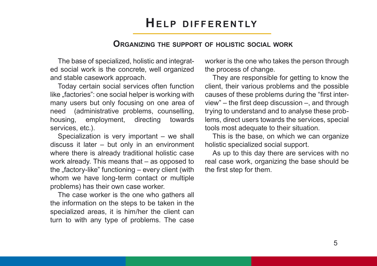#### **ORGANIZING THE SUPPORT OF HOLISTIC SOCIAL WORK**

The base of specialized, holistic and integrated social work is the concrete, well organized and stable casework approach.

Today certain social services often function like "factories": one social helper is working with many users but only focusing on one area of need (administrative problems, counselling, housing, employment, directing towards services, etc.).

Specialization is very important – we shall discuss it later – but only in an environment where there is already traditional holistic case work already. This means that – as opposed to the "factory-like" functioning  $-$  every client (with whom we have long-term contact or multiple problems) has their own case worker.

The case worker is the one who gathers all the information on the steps to be taken in the specialized areas, it is him/her the client can turn to with any type of problems. The case worker is the one who takes the person through the process of change.

They are responsible for getting to know the client, their various problems and the possible causes of these problems during the "first interview" – the first deep discussion –, and through trying to understand and to analyse these problems, direct users towards the services, special tools most adequate to their situation.

This is the base, on which we can organize holistic specialized social support.

As up to this day there are services with no real case work, organizing the base should be the first step for them.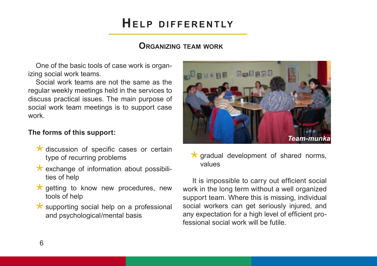### **ORGANIZING TEAM WORK**

One of the basic tools of case work is organizing social work teams.

Social work teams are not the same as the regular weekly meetings held in the services to discuss practical issues. The main purpose of social work team meetings is to support case work.

#### **The forms of this support:**

- $\star$  discussion of specific cases or certain type of recurring problems
- $\star$  exchange of information about possibilities of help
- $\star$  getting to know new procedures, new tools of help
- $\star$  supporting social help on a professional and psychological/mental basis



 $\star$  gradual development of shared norms, values

 It is impossible to carry out efficient social work in the long term without a well organized support team. Where this is missing, individual social workers can get seriously injured, and any expectation for a high level of efficient professional social work will be futile.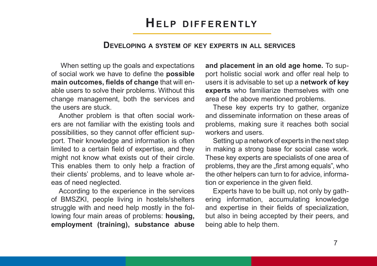#### **DEVELOPING A SYSTEM OF KEY EXPERTS IN ALL SERVICES**

 When setting up the goals and expectations of social work we have to define the **possible main outcomes, fields of change** that will enable users to solve their problems. Without this change management, both the services and the users are stuck.

Another problem is that often social workers are not familiar with the existing tools and possibilities, so they cannot offer efficient support. Their knowledge and information is often limited to a certain field of expertise, and they might not know what exists out of their circle. This enables them to only help a fraction of their clients' problems, and to leave whole areas of need neglected.

According to the experience in the services of BMSZKI, people living in hostels/shelters struggle with and need help mostly in the following four main areas of problems: **housing, employment (training), substance abuse**  **and placement in an old age home.** To support holistic social work and offer real help to users it is advisable to set up a **network of key experts** who familiarize themselves with one area of the above mentioned problems.

These key experts try to gather, organize and disseminate information on these areas of problems, making sure it reaches both social workers and users.

Setting up a network of experts in the next step in making a strong base for social case work. These key experts are specialists of one area of problems, they are the "first among equals", who the other helpers can turn to for advice, information or experience in the given field.

Experts have to be built up, not only by gathering information, accumulating knowledge and expertise in their fields of specialization, but also in being accepted by their peers, and being able to help them.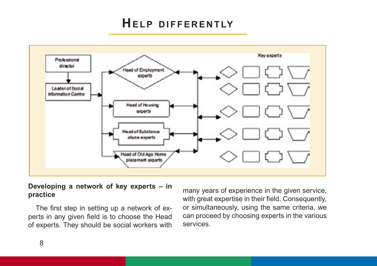

#### **Developing a network of key experts – in practice**

The first step in setting up a network of experts in any given field is to choose the Head of experts. They should be social workers with

many years of experience in the given service, with great expertise in their field. Consequently, or simultaneously, using the same criteria, we can proceed by choosing experts in the various services.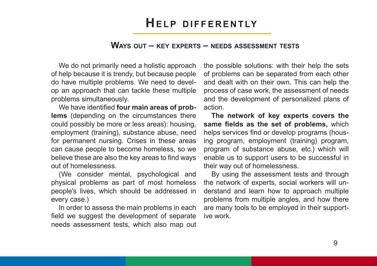### **WAYS OUT – KEY EXPERTS – NEEDS ASSESSMENT TESTS**

We do not primarily need a holistic approach of help because it is trendy, but because people do have multiple problems. We need to develop an approach that can tackle these multiple problems simultaneously.

We have identified **four main areas of problems** (depending on the circumstances there could possibly be more or less areas): housing, employment (training), substance abuse, need for permanent nursing. Crises in these areas can cause people to become homeless, so we believe these are also the key areas to find ways out of homelessness.

(We consider mental, psychological and physical problems as part of most homeless people's lives, which should be addressed in every case.)

In order to assess the main problems in each field we suggest the development of separate needs assessment tests, which also map out

the possible solutions: with their help the sets of problems can be separated from each other and dealt with on their own. This can help the process of case work, the assessment of needs and the development of personalized plans of action.

**The network of key experts covers the same fields as the set of problems,** which helps services find or develop programs (housing program, employment (training) program, program of substance abuse, etc.) which will enable us to support users to be successful in their way out of homelessness.

By using the assessment tests and through the network of experts, social workers will understand and learn how to approach multiple problems from multiple angles, and how there are many tools to be employed in their supportive work.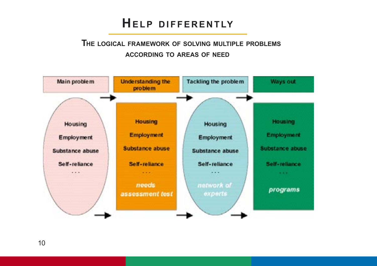### **THE LOGICAL FRAMEWORK OF SOLVING MULTIPLE PROBLEMS ACCORDING TO AREAS OF NEED**

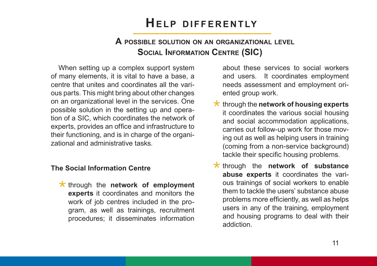### **A POSSIBLE SOLUTION ON AN ORGANIZATIONAL LEVEL SOCIAL INFORMATION CENTRE (SIC)**

When setting up a complex support system of many elements, it is vital to have a base, a centre that unites and coordinates all the various parts. This might bring about other changes on an organizational level in the services. One possible solution in the setting up and operation of a SIC, which coordinates the network of experts, provides an office and infrastructure to their functioning, and is in charge of the organizational and administrative tasks.

#### **The Social Information Centre**

\* through the **network** of **employment experts** it coordinates and monitors the work of job centres included in the program, as well as trainings, recruitment procedures; it disseminates information

about these services to social workers and users. It coordinates employment needs assessment and employment oriented group work.

- through the **network of housing experts** it coordinates the various social housing and social accommodation applications, carries out follow-up work for those moving out as well as helping users in training (coming from a non-service background) tackle their specific housing problems.
- **through the network of substance abuse experts** it coordinates the various trainings of social workers to enable them to tackle the users' substance abuse problems more efficiently, as well as helps users in any of the training, employment and housing programs to deal with their addiction.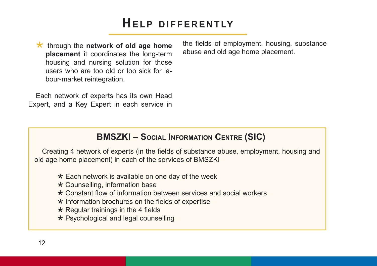\* through the **network of old age home placement** it coordinates the long-term housing and nursing solution for those users who are too old or too sick for labour-market reintegration.

Each network of experts has its own Head Expert, and a Key Expert in each service in the fields of employment, housing, substance abuse and old age home placement.

### **BMSZKI – SOCIAL INFORMATION CENTRE (SIC)**

Creating 4 network of experts (in the fields of substance abuse, employment, housing and old age home placement) in each of the services of BMSZKI

- $\star$  Each network is available on one day of the week
- \* Counselling, information base
- Constant flow of information between services and social workers
- $\star$  Information brochures on the fields of expertise
- $\star$  Regular trainings in the 4 fields
- \* Psychological and legal counselling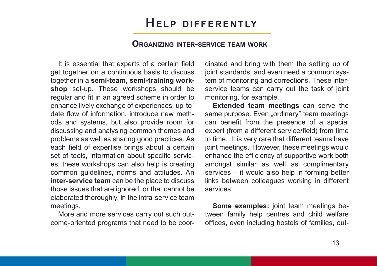#### **ORGANIZING INTER-SERVICE TEAM WORK**

It is essential that experts of a certain field get together on a continuous basis to discuss together in a **semi-team, semi-training workshop** set-up. These workshops should be regular and fit in an agreed scheme in order to enhance lively exchange of experiences, up-todate flow of information, introduce new methods and systems, but also provide room for discussing and analysing common themes and problems as well as sharing good practices. As each field of expertise brings about a certain set of tools, information about specific services, these workshops can also help is creating common guidelines, norms and attitudes. An **inter-service team** can be the place to discuss those issues that are ignored, or that cannot be elaborated thoroughly, in the intra-service team meetings.

More and more services carry out such outcome-oriented programs that need to be coordinated and bring with them the setting up of joint standards, and even need a common system of monitoring and corrections. These interservice teams can carry out the task of joint monitoring, for example.

**Extended team meetings** can serve the same purpose. Even "ordinary" team meetings can benefit from the presence of a special expert (from a different service/field) from time to time. It is very rare that different teams have joint meetings. However, these meetings would enhance the efficiency of supportive work both amongst similar as well as complimentary services – it would also help in forming better links between colleagues working in different services.

**Some examples:** joint team meetings between family help centres and child welfare offices, even including hostels of families, out-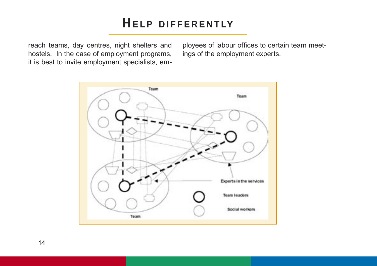reach teams, day centres, night shelters and hostels. In the case of employment programs, it is best to invite employment specialists, employees of labour offices to certain team meetings of the employment experts.

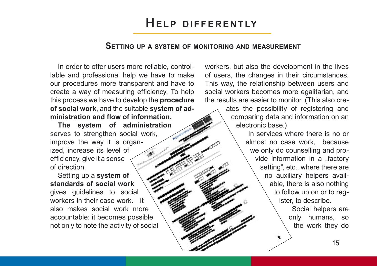#### **SETTING UP A SYSTEM OF MONITORING AND MEASUREMENT**

In order to offer users more reliable, controllable and professional help we have to make our procedures more transparent and have to create a way of measuring efficiency. To help this process we have to develop the **procedure of social work**, and the suitable **system of administration and flow of information.**

**The system of administration** serves to strengthen social work, improve the way it is organized, increase its level of efficiency, give it a sense of direction.

Setting up a **system of standards of social work** gives guidelines to social workers in their case work. It also makes social work more accountable: it becomes possible not only to note the activity of social workers, but also the development in the lives of users, the changes in their circumstances. This way, the relationship between users and social workers becomes more egalitarian, and the results are easier to monitor. (This also cre-

> ates the possibility of registering and comparing data and information on an electronic base.)

> > In services where there is no or almost no case work, because we only do counselling and provide information in a "factory setting", etc., where there are no auxiliary helpers available, there is also nothing to follow up on or to register, to describe.

> > > Social helpers are only humans, so the work they do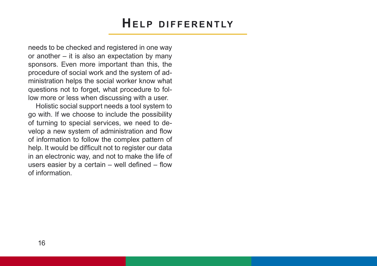needs to be checked and registered in one way or another – it is also an expectation by many sponsors. Even more important than this, the procedure of social work and the system of administration helps the social worker know what questions not to forget, what procedure to follow more or less when discussing with a user.

Holistic social support needs a tool system to go with. If we choose to include the possibility of turning to special services, we need to develop a new system of administration and flow of information to follow the complex pattern of help. It would be difficult not to register our data in an electronic way, and not to make the life of users easier by a certain  $-$  well defined  $-$  flow of information.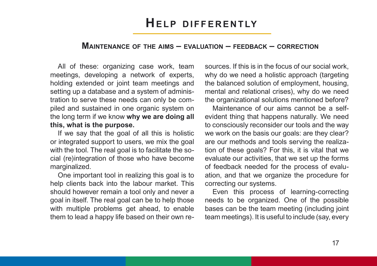#### **MAINTENANCE OF THE AIMS – EVALUATION – FEEDBACK – CORRECTION**

All of these: organizing case work, team meetings, developing a network of experts, holding extended or joint team meetings and setting up a database and a system of administration to serve these needs can only be compiled and sustained in one organic system on the long term if we know **why we are doing all this, what is the purpose.** 

If we say that the goal of all this is holistic or integrated support to users, we mix the goal with the tool. The real goal is to facilitate the social (re)integration of those who have become marginalized.

One important tool in realizing this goal is to help clients back into the labour market. This should however remain a tool only and never a goal in itself. The real goal can be to help those with multiple problems get ahead, to enable them to lead a happy life based on their own resources. If this is in the focus of our social work, why do we need a holistic approach (targeting the balanced solution of employment, housing, mental and relational crises), why do we need the organizational solutions mentioned before?

Maintenance of our aims cannot be a selfevident thing that happens naturally. We need to consciously reconsider our tools and the way we work on the basis our goals: are they clear? are our methods and tools serving the realization of these goals? For this, it is vital that we evaluate our activities, that we set up the forms of feedback needed for the process of evaluation, and that we organize the procedure for correcting our systems.

Even this process of learning-correcting needs to be organized. One of the possible bases can be the team meeting (including joint team meetings). It is useful to include (say, every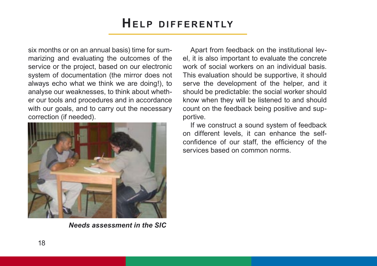six months or on an annual basis) time for summarizing and evaluating the outcomes of the service or the project, based on our electronic system of documentation (the mirror does not always echo what we think we are doing!), to analyse our weaknesses, to think about whether our tools and procedures and in accordance with our goals, and to carry out the necessary correction (if needed).



*Needs assessment in the SIC*

Apart from feedback on the institutional level, it is also important to evaluate the concrete work of social workers on an individual basis. This evaluation should be supportive, it should serve the development of the helper, and it should be predictable: the social worker should know when they will be listened to and should count on the feedback being positive and supportive.

If we construct a sound system of feedback on different levels, it can enhance the selfconfidence of our staff, the efficiency of the services based on common norms.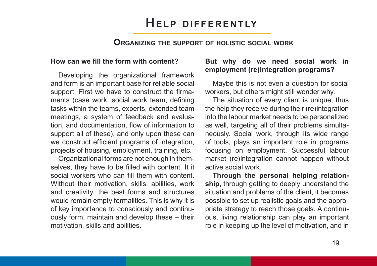#### **ORGANIZING THE SUPPORT OF HOLISTIC SOCIAL WORK**

#### **How can we fill the form with content?**

Developing the organizational framework and form is an important base for reliable social support. First we have to construct the firmaments (case work, social work team, defining tasks within the teams, experts, extended team meetings, a system of feedback and evaluation, and documentation, flow of information to support all of these), and only upon these can we construct efficient programs of integration, projects of housing, employment, training, etc.

Organizational forms are not enough in themselves, they have to be filled with content. It it social workers who can fill them with content. Without their motivation, skills, abilities, work and creativity, the best forms and structures would remain empty formalities. This is why it is of key importance to consciously and continuously form, maintain and develop these – their motivation, skills and abilities.

#### **But why do we need social work in employment (re)integration programs?**

Maybe this is not even a question for social workers, but others might still wonder why.

The situation of every client is unique, thus the help they receive during their (re)integration into the labour market needs to be personalized as well, targeting all of their problems simultaneously. Social work, through its wide range of tools, plays an important role in programs focusing on employment. Successful labour market (re)integration cannot happen without active social work.

**Through the personal helping relationship,** through getting to deeply understand the situation and problems of the client, it becomes possible to set up realistic goals and the appropriate strategy to reach those goals. A continuous, living relationship can play an important role in keeping up the level of motivation, and in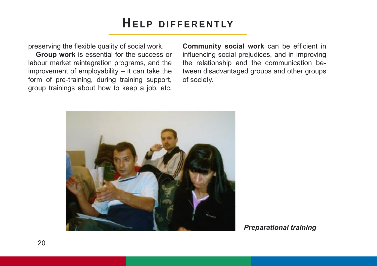preserving the flexible quality of social work.

**Group work** is essential for the success or labour market reintegration programs, and the improvement of employability – it can take the form of pre-training, during training support, group trainings about how to keep a job, etc. **Community social work** can be efficient in influencing social prejudices, and in improving the relationship and the communication between disadvantaged groups and other groups of society.



*Preparational training*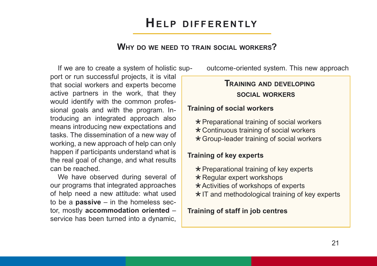### **WHY DO WE NEED TO TRAIN SOCIAL WORKERS?**

If we are to create a system of holistic support or run successful projects, it is vital that social workers and experts become active partners in the work, that they would identify with the common professional goals and with the program. Introducing an integrated approach also means introducing new expectations and tasks. The dissemination of a new way of working, a new approach of help can only happen if participants understand what is the real goal of change, and what results can be reached.

We have observed during several of our programs that integrated approaches of help need a new attitude: what used to be a **passive** – in the homeless sector, mostly **accommodation oriented** – service has been turned into a dynamic,

outcome-oriented system. This new approach

### **TRAINING AND DEVELOPING SOCIAL WORKERS**

#### **Training of social workers**

 $\star$  Preparational training of social workers

- Continuous training of social workers
- Group-leader training of social workers

### **Training of key experts**

- $\star$  Preparational training of key experts
- $\star$  Regular expert workshops
- $\star$  Activities of workshops of experts
- $\star$  IT and methodological training of key experts

#### **Training of staff in job centres**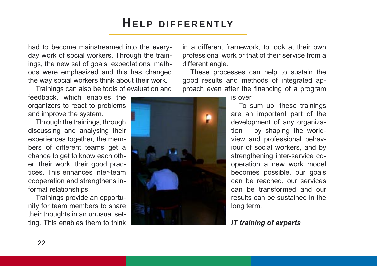had to become mainstreamed into the everyday work of social workers. Through the trainings, the new set of goals, expectations, methods were emphasized and this has changed the way social workers think about their work.

Trainings can also be tools of evaluation and

feedback, which enables the organizers to react to problems and improve the system.

Through the trainings, through discussing and analysing their experiences together, the members of different teams get a chance to get to know each other, their work, their good practices. This enhances inter-team cooperation and strengthens informal relationships.

Trainings provide an opportunity for team members to share their thoughts in an unusual setting. This enables them to think

in a different framework, to look at their own professional work or that of their service from a different angle.

These processes can help to sustain the good results and methods of integrated approach even after the financing of a program



is over.

To sum up: these trainings are an important part of the development of any organization – by shaping the worldview and professional behaviour of social workers, and by strengthening inter-service cooperation a new work model becomes possible, our goals can be reached, our services can be transformed and our results can be sustained in the long term.

#### *IT training of experts*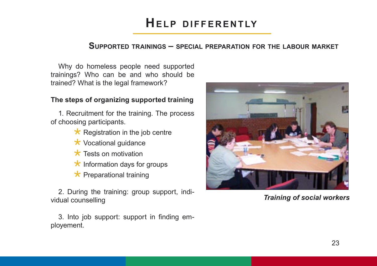#### **SUPPORTED TRAININGS – SPECIAL PREPARATION FOR THE LABOUR MARKET**

Why do homeless people need supported trainings? Who can be and who should be trained? What is the legal framework?

#### **The steps of organizing supported training**

1. Recruitment for the training. The process of choosing participants.

- $\star$  Registration in the job centre
- $\star$  Vocational guidance
- $\star$  Tests on motivation
- $\star$  Information days for groups
- $\star$  Preparational training

2. During the training: group support, individual counselling

3. Into job support: support in finding employement.



*Training of social workers*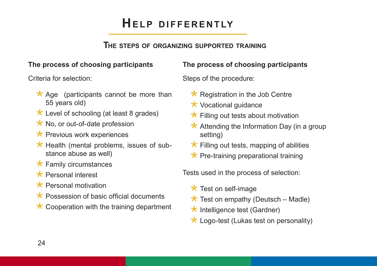### **THE STEPS OF ORGANIZING SUPPORTED TRAINING**

### **The process of choosing participants**

Criteria for selection:

- $\star$  Age (participants cannot be more than 55 years old)
- $\star$  Level of schooling (at least 8 grades)
- $\star$  No, or out-of-date profession
- $\star$  Previous work experiences
- $\star$  Health (mental problems, issues of substance abuse as well)
- $\star$  Family circumstances
- \* Personal interest
- $\star$  Personal motivation
- $\star$  Possession of basic official documents
- $\star$  Cooperation with the training department

### **The process of choosing participants**

Steps of the procedure:

- $\star$  Registration in the Job Centre
- $\star$  Vocational quidance
- $\star$  Filling out tests about motivation
- $\star$  Attending the Information Day (in a group setting)
- $\star$  Filling out tests, mapping of abilities
- $\star$  Pre-training preparational training

Tests used in the process of selection:

- $\star$  Test on self-image
- $\star$  Test on empathy (Deutsch Madle)
- $\star$  Intelligence test (Gardner)
- $\star$  Logo-test (Lukas test on personality)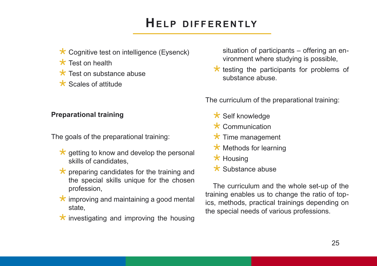- $\star$  Cognitive test on intelligence (Eysenck)
- $\star$  Test on health
- $\star$  Test on substance abuse
- $\star$  Scales of attitude

#### **Preparational training**

The goals of the preparational training:

- $\star$  getting to know and develop the personal skills of candidates,
- $\star$  preparing candidates for the training and the special skills unique for the chosen profession,
- $\star$  improving and maintaining a good mental state,
- $\star$  investigating and improving the housing

situation of participants – offering an environment where studying is possible,

 $\star$  testing the participants for problems of substance abuse.

The curriculum of the preparational training:

- $\star$  Self knowledge
- $\star$  Communication
- $\star$  Time management
- $\star$  Methods for learning
- $\star$  Housing
- $\star$  Substance abuse

The curriculum and the whole set-up of the training enables us to change the ratio of topics, methods, practical trainings depending on the special needs of various professions.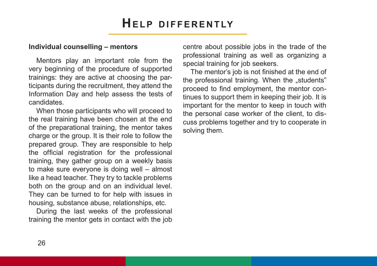#### **Individual counselling – mentors**

Mentors play an important role from the very beginning of the procedure of supported trainings: they are active at choosing the participants during the recruitment, they attend the Information Day and help assess the tests of candidates.

When those participants who will proceed to the real training have been chosen at the end of the preparational training, the mentor takes charge or the group. It is their role to follow the prepared group. They are responsible to help the official registration for the professional training, they gather group on a weekly basis to make sure everyone is doing well – almost like a head teacher. They try to tackle problems both on the group and on an individual level. They can be turned to for help with issues in housing, substance abuse, relationships, etc.

During the last weeks of the professional training the mentor gets in contact with the job centre about possible jobs in the trade of the professional training as well as organizing a special training for job seekers.

The mentor's job is not finished at the end of the professional training. When the "students" proceed to find employment, the mentor continues to support them in keeping their job. It is important for the mentor to keep in touch with the personal case worker of the client, to discuss problems together and try to cooperate in solving them.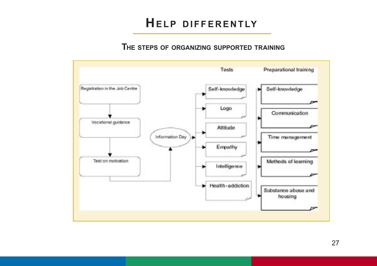### **THE STEPS OF ORGANIZING SUPPORTED TRAINING**

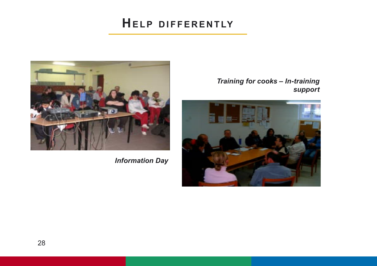

*Information Day*

*Training for cooks – In-training support*

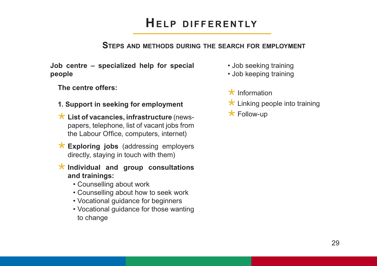### **STEPS AND METHODS DURING THE SEARCH FOR EMPLOYMENT**

**Job centre – specialized help for special people**

**The centre offers:** 

- **1. Support in seeking for employment**
- **List of vacancies, infrastructure** (newspapers, telephone, list of vacant jobs from the Labour Office, computers, internet)
- **Exploring jobs** (addressing employers directly, staying in touch with them)
- **Individual and group consultations and trainings:** 
	- Counselling about work
	- Counselling about how to seek work
	- Vocational guidance for beginners
	- Vocational guidance for those wanting to change
- Job seeking training
- Job keeping training
- $\star$  Information
- $\star$  Linking people into training
- \* Follow-up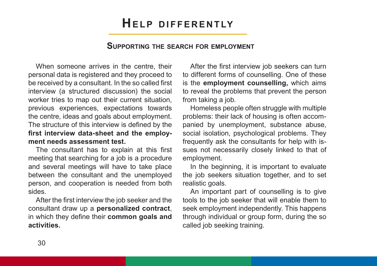#### **SUPPORTING THE SEARCH FOR EMPLOYMENT**

When someone arrives in the centre, their personal data is registered and they proceed to be received by a consultant. In the so called first interview (a structured discussion) the social worker tries to map out their current situation, previous experiences, expectations towards the centre, ideas and goals about employment. The structure of this interview is defined by the **first interview data-sheet and the employment needs assessment test.**

The consultant has to explain at this first meeting that searching for a job is a procedure and several meetings will have to take place between the consultant and the unemployed person, and cooperation is needed from both sides.

After the first interview the job seeker and the consultant draw up a **personalized contract**, in which they define their **common goals and activities.** 

After the first interview job seekers can turn to different forms of counselling. One of these is the **employment counselling,** which aims to reveal the problems that prevent the person from taking a job.

Homeless people often struggle with multiple problems: their lack of housing is often accompanied by unemployment, substance abuse, social isolation, psychological problems. They frequently ask the consultants for help with issues not necessarily closely linked to that of employment.

In the beginning, it is important to evaluate the job seekers situation together, and to set realistic goals.

An important part of counselling is to give tools to the job seeker that will enable them to seek employment independently. This happens through individual or group form, during the so called job seeking training.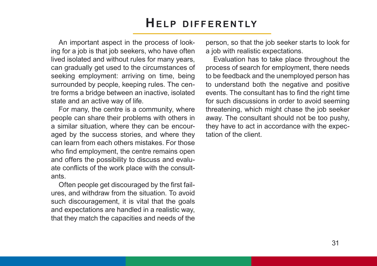An important aspect in the process of looking for a job is that job seekers, who have often lived isolated and without rules for many years, can gradually get used to the circumstances of seeking employment: arriving on time, being surrounded by people, keeping rules. The centre forms a bridge between an inactive, isolated state and an active way of life.

For many, the centre is a community, where people can share their problems with others in a similar situation, where they can be encouraged by the success stories, and where they can learn from each others mistakes. For those who find employment, the centre remains open and offers the possibility to discuss and evaluate conflicts of the work place with the consultants.

Often people get discouraged by the first failures, and withdraw from the situation. To avoid such discouragement, it is vital that the goals and expectations are handled in a realistic way, that they match the capacities and needs of the person, so that the job seeker starts to look for a job with realistic expectations.

Evaluation has to take place throughout the process of search for employment, there needs to be feedback and the unemployed person has to understand both the negative and positive events. The consultant has to find the right time for such discussions in order to avoid seeming threatening, which might chase the job seeker away. The consultant should not be too pushy, they have to act in accordance with the expectation of the client.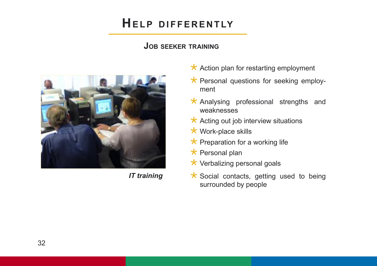### **JOB SEEKER TRAINING**



*IT training*

- $\star$  Action plan for restarting employment
- $\star$  Personal questions for seeking employment
- $\star$  Analysing professional strengths and weaknesses
- $\star$  Acting out job interview situations
- $\star$  Work-place skills
- $\star$  Preparation for a working life
- $\star$  Personal plan
- $\star$  Verbalizing personal goals
- $\star$  Social contacts, getting used to being surrounded by people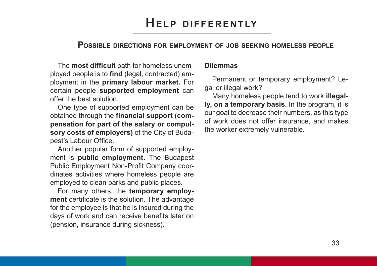#### **POSSIBLE DIRECTIONS FOR EMPLOYMENT OF JOB SEEKING HOMELESS PEOPLE**

The **most difficult** path for homeless unemployed people is to **find** (legal, contracted) employment in the **primary labour market.** For certain people **supported employment** can offer the best solution.

One type of supported employment can be obtained through the **financial support (compensation for part of the salary or compulsory costs of employers)** of the City of Budapest's Labour Office.

Another popular form of supported employment is **public employment.** The Budapest Public Employment Non-Profit Company coordinates activities where homeless people are employed to clean parks and public places.

For many others, the **temporary employment** certificate is the solution. The advantage for the employee is that he is insured during the days of work and can receive benefits later on (pension, insurance during sickness).

#### **Dilemmas**

Permanent or temporary employment? Legal or illegal work?

Many homeless people tend to work **illegally, on a temporary basis.** In the program, it is our goal to decrease their numbers, as this type of work does not offer insurance, and makes the worker extremely vulnerable.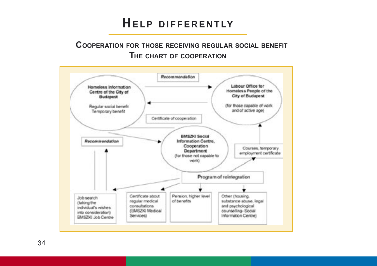### **COOPERATION FOR THOSE RECEIVING REGULAR SOCIAL BENEFIT THE CHART OF COOPERATION**



34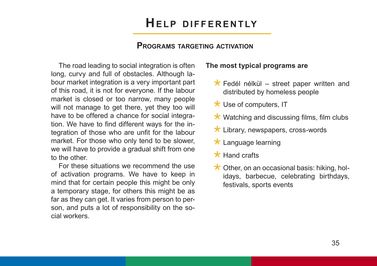#### **PROGRAMS TARGETING ACTIVATION**

The road leading to social integration is often long, curvy and full of obstacles. Although labour market integration is a very important part of this road, it is not for everyone. If the labour market is closed or too narrow, many people will not manage to get there, yet they too will have to be offered a chance for social integration. We have to find different ways for the integration of those who are unfit for the labour market. For those who only tend to be slower, we will have to provide a gradual shift from one to the other.

For these situations we recommend the use of activation programs. We have to keep in mind that for certain people this might be only a temporary stage, for others this might be as far as they can get. It varies from person to person, and puts a lot of responsibility on the social workers.

#### **The most typical programs are**

- $\star$  Fedél nélkül street paper written and distributed by homeless people
- $\star$  Use of computers, IT
- $\star$  Watching and discussing films, film clubs
- $\star$  Library, newspapers, cross-words
- $\star$  Language learning
- $\star$  Hand crafts
- $\star$  Other, on an occasional basis: hiking, holidays, barbecue, celebrating birthdays, festivals, sports events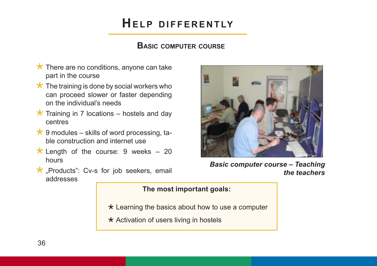### **BASIC COMPUTER COURSE**

- $\star$  There are no conditions, anyone can take part in the course
- $\star$  The training is done by social workers who can proceed slower or faster depending on the individual's needs
- $\star$  Training in 7 locations hostels and day centres
- $\star$  9 modules skills of word processing, table construction and internet use
- $\star$  Length of the course: 9 weeks 20 hours
- $\star$  "Products": Cv-s for job seekers, email addresses



*Basic computer course – Teaching the teachers*

#### **The most important goals:**

- $\star$  Learning the basics about how to use a computer
- $\star$  Activation of users living in hostels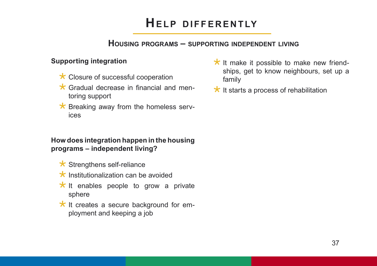### **HOUSING PROGRAMS – SUPPORTING INDEPENDENT LIVING**

### **Supporting integration**

- $\star$  Closure of successful cooperation
- $\star$  Gradual decrease in financial and mentoring support
- $\star$  Breaking away from the homeless services

### **How does integration happen in the housing programs – independent living?**

- $\star$  Strengthens self-reliance
- $\star$  Institutionalization can be avoided
- $\star$  It enables people to grow a private sphere
- $\star$  It creates a secure background for employment and keeping a job
- $\star$  It make it possible to make new friendships, get to know neighbours, set up a family
- $\star$  It starts a process of rehabilitation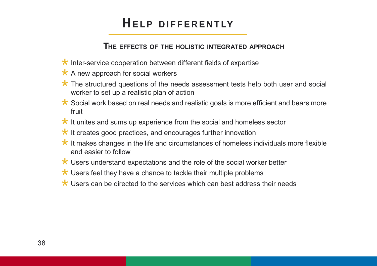### **THE EFFECTS OF THE HOLISTIC INTEGRATED APPROACH**

- $\star$  Inter-service cooperation between different fields of expertise
- $\star$  A new approach for social workers
- $\star$  The structured questions of the needs assessment tests help both user and social worker to set up a realistic plan of action
- $\star$  Social work based on real needs and realistic goals is more efficient and bears more fruit
- $\star$  It unites and sums up experience from the social and homeless sector
- $\star$  It creates good practices, and encourages further innovation
- $\star$  It makes changes in the life and circumstances of homeless individuals more flexible and easier to follow
- $\star$  Users understand expectations and the role of the social worker better
- $\star$  Users feel they have a chance to tackle their multiple problems
- $\star$  Users can be directed to the services which can best address their needs